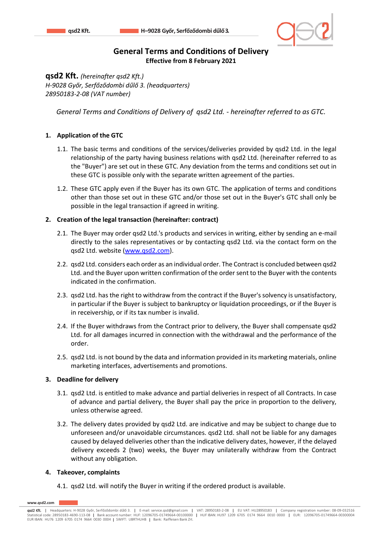

# **General Terms and Conditions of Delivery Effective from 8 February 2021**

**qsd2 Kft.** *(hereinafter qsd2 Kft.) H-9028 Győr, Serfőződombi dűlő 3. (headquarters) 28950183-2-08 (VAT number)*

*General Terms and Conditions of Delivery of qsd2 Ltd. - hereinafter referred to as GTC.*

## **1. Application of the GTC**

- 1.1. The basic terms and conditions of the services/deliveries provided by qsd2 Ltd. in the legal relationship of the party having business relations with qsd2 Ltd. (hereinafter referred to as the "Buyer") are set out in these GTC. Any deviation from the terms and conditions set out in these GTC is possible only with the separate written agreement of the parties.
- 1.2. These GTC apply even if the Buyer has its own GTC. The application of terms and conditions other than those set out in these GTC and/or those set out in the Buyer's GTC shall only be possible in the legal transaction if agreed in writing.

### **2. Creation of the legal transaction (hereinafter: contract)**

- 2.1. The Buyer may order qsd2 Ltd.'s products and services in writing, either by sending an e-mail directly to the sales representatives or by contacting qsd2 Ltd. via the contact form on the qsd2 Ltd. website [\(www.qsd2.com\)](http://www.qsd2.com/).
- 2.2. qsd2 Ltd. considers each order as an individual order. The Contract is concluded between qsd2 Ltd. and the Buyer upon written confirmation of the order sent to the Buyer with the contents indicated in the confirmation.
- 2.3. qsd2 Ltd. has the right to withdraw from the contract if the Buyer's solvency is unsatisfactory, in particular if the Buyer is subject to bankruptcy or liquidation proceedings, or if the Buyer is in receivership, or if its tax number is invalid.
- 2.4. If the Buyer withdraws from the Contract prior to delivery, the Buyer shall compensate qsd2 Ltd. for all damages incurred in connection with the withdrawal and the performance of the order.
- 2.5. qsd2 Ltd. is not bound by the data and information provided in its marketing materials, online marketing interfaces, advertisements and promotions.

#### **3. Deadline for delivery**

- 3.1. qsd2 Ltd. is entitled to make advance and partial deliveries in respect of all Contracts. In case of advance and partial delivery, the Buyer shall pay the price in proportion to the delivery, unless otherwise agreed.
- 3.2. The delivery dates provided by qsd2 Ltd. are indicative and may be subject to change due to unforeseen and/or unavoidable circumstances. qsd2 Ltd. shall not be liable for any damages caused by delayed deliveries other than the indicative delivery dates, however, if the delayed delivery exceeds 2 (two) weeks, the Buyer may unilaterally withdraw from the Contract without any obligation.

#### **4. Takeover, complaints**

4.1. qsd2 Ltd. will notify the Buyer in writing if the ordered product is available.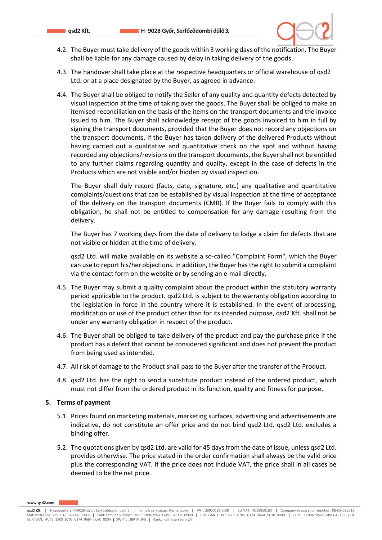

- 4.2. The Buyer must take delivery of the goods within 3 working days of the notification. The Buyer shall be liable for any damage caused by delay in taking delivery of the goods.
- 4.3. The handover shall take place at the respective headquarters or official warehouse of qsd2 Ltd. or at a place designated by the Buyer, as agreed in advance.
- 4.4. The Buyer shall be obliged to notify the Seller of any quality and quantity defects detected by visual inspection at the time of taking over the goods. The Buyer shall be obliged to make an itemised reconciliation on the basis of the items on the transport documents and the invoice issued to him. The Buyer shall acknowledge receipt of the goods invoiced to him in full by signing the transport documents, provided that the Buyer does not record any objections on the transport documents. If the Buyer has taken delivery of the delivered Products without having carried out a qualitative and quantitative check on the spot and without having recorded any objections/revisions on the transport documents, the Buyer shall not be entitled to any further claims regarding quantity and quality, except in the case of defects in the Products which are not visible and/or hidden by visual inspection.

The Buyer shall duly record (facts, date, signature, etc.) any qualitative and quantitative complaints/questions that can be established by visual inspection at the time of acceptance of the delivery on the transport documents (CMR). If the Buyer fails to comply with this obligation, he shall not be entitled to compensation for any damage resulting from the delivery.

The Buyer has 7 working days from the date of delivery to lodge a claim for defects that are not visible or hidden at the time of delivery.

qsd2 Ltd. will make available on its website a so-called "Complaint Form", which the Buyer can use to report his/her objections. In addition, the Buyer has the right to submit a complaint via the contact form on the website or by sending an e-mail directly.

- 4.5. The Buyer may submit a quality complaint about the product within the statutory warranty period applicable to the product. qsd2 Ltd. is subject to the warranty obligation according to the legislation in force in the country where it is established. In the event of processing, modification or use of the product other than for its intended purpose, qsd2 Kft. shall not be under any warranty obligation in respect of the product.
- 4.6. The Buyer shall be obliged to take delivery of the product and pay the purchase price if the product has a defect that cannot be considered significant and does not prevent the product from being used as intended.
- 4.7. All risk of damage to the Product shall pass to the Buyer after the transfer of the Product.
- 4.8. qsd2 Ltd. has the right to send a substitute product instead of the ordered product, which must not differ from the ordered product in its function, quality and fitness for purpose.

#### **5. Terms of payment**

- 5.1. Prices found on marketing materials, marketing surfaces, advertising and advertisements are indicative, do not constitute an offer price and do not bind qsd2 Ltd. qsd2 Ltd. excludes a binding offer.
- 5.2. The quotations given by qsd2 Ltd. are valid for 45 days from the date of issue, unless qsd2 Ltd. provides otherwise. The price stated in the order confirmation shall always be the valid price plus the corresponding VAT. If the price does not include VAT, the price shall in all cases be deemed to be the net price.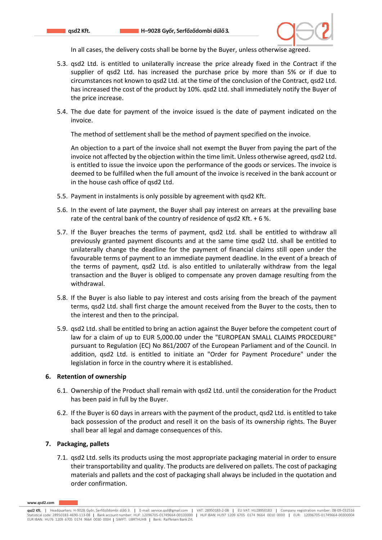

In all cases, the delivery costs shall be borne by the Buyer, unless otherwise agreed.

- 5.3. qsd2 Ltd. is entitled to unilaterally increase the price already fixed in the Contract if the supplier of qsd2 Ltd. has increased the purchase price by more than 5% or if due to circumstances not known to qsd2 Ltd. at the time of the conclusion of the Contract, qsd2 Ltd. has increased the cost of the product by 10%. qsd2 Ltd. shall immediately notify the Buyer of the price increase.
- 5.4. The due date for payment of the invoice issued is the date of payment indicated on the invoice.

The method of settlement shall be the method of payment specified on the invoice.

An objection to a part of the invoice shall not exempt the Buyer from paying the part of the invoice not affected by the objection within the time limit. Unless otherwise agreed, qsd2 Ltd. is entitled to issue the invoice upon the performance of the goods or services. The invoice is deemed to be fulfilled when the full amount of the invoice is received in the bank account or in the house cash office of qsd2 Ltd.

- 5.5. Payment in instalments is only possible by agreement with qsd2 Kft.
- 5.6. In the event of late payment, the Buyer shall pay interest on arrears at the prevailing base rate of the central bank of the country of residence of qsd2 Kft. + 6 %.
- 5.7. If the Buyer breaches the terms of payment, qsd2 Ltd. shall be entitled to withdraw all previously granted payment discounts and at the same time qsd2 Ltd. shall be entitled to unilaterally change the deadline for the payment of financial claims still open under the favourable terms of payment to an immediate payment deadline. In the event of a breach of the terms of payment, qsd2 Ltd. is also entitled to unilaterally withdraw from the legal transaction and the Buyer is obliged to compensate any proven damage resulting from the withdrawal.
- 5.8. If the Buyer is also liable to pay interest and costs arising from the breach of the payment terms, qsd2 Ltd. shall first charge the amount received from the Buyer to the costs, then to the interest and then to the principal.
- 5.9. qsd2 Ltd. shall be entitled to bring an action against the Buyer before the competent court of law for a claim of up to EUR 5,000.00 under the "EUROPEAN SMALL CLAIMS PROCEDURE" pursuant to Regulation (EC) No 861/2007 of the European Parliament and of the Council. In addition, qsd2 Ltd. is entitled to initiate an "Order for Payment Procedure" under the legislation in force in the country where it is established.

#### **6. Retention of ownership**

- 6.1. Ownership of the Product shall remain with qsd2 Ltd. until the consideration for the Product has been paid in full by the Buyer.
- 6.2. If the Buyer is 60 days in arrears with the payment of the product, qsd2 Ltd. is entitled to take back possession of the product and resell it on the basis of its ownership rights. The Buyer shall bear all legal and damage consequences of this.

#### **7. Packaging, pallets**

7.1. qsd2 Ltd. sells its products using the most appropriate packaging material in order to ensure their transportability and quality. The products are delivered on pallets. The cost of packaging materials and pallets and the cost of packaging shall always be included in the quotation and order confirmation.